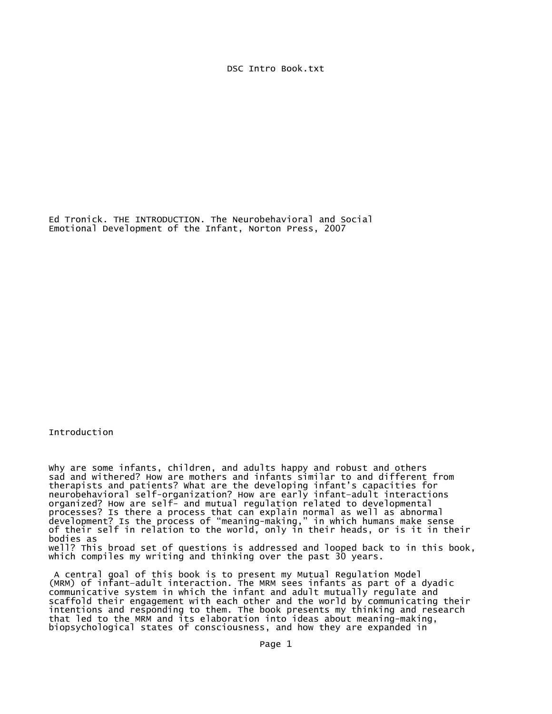Ed Tronick. THE INTRODUCTION. The Neurobehavioral and Social Emotional Development of the Infant, Norton Press, 2007

Introduction

Why are some infants, children, and adults happy and robust and others sad and withered? How are mothers and infants similar to and different from therapists and patients? What are the developing infant's capacities for neurobehavioral self-organization? How are early infant–adult interactions organized? How are self- and mutual regulation related to developmental processes? Is there a process that can explain normal as well as abnormal development? Is the process of "meaning-making," in which humans make sense of their self in relation to the world, only in their heads, or is it in their bodies as well? This broad set of questions is addressed and looped back to in this book, which compiles my writing and thinking over the past 30 years.

A central goal of this book is to present my Mutual Regulation Model (MRM) of infant–adult interaction. The MRM sees infants as part of a dyadic communicative system in which the infant and adult mutually regulate and scaffold their engagement with each other and the world by communicating their intentions and responding to them. The book presents my thinking and research that led to the MRM and its elaboration into ideas about meaning-making, biopsychological states of consciousness, and how they are expanded in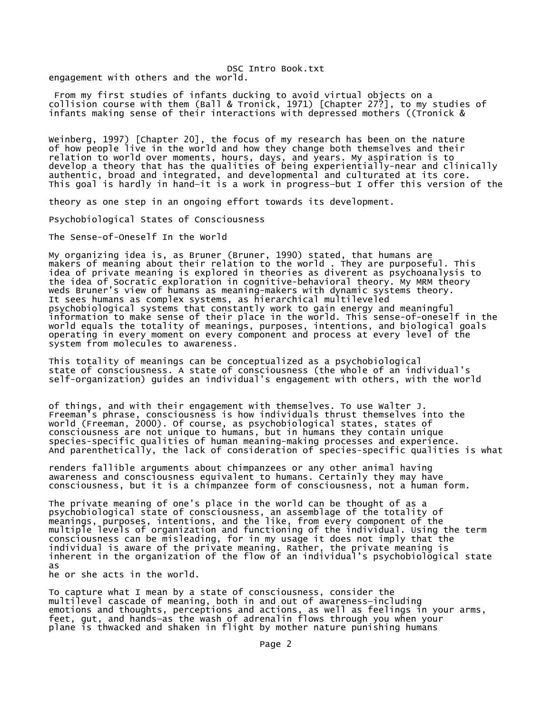DSC Intro Book.txt engagement with others and the world.

From my first studies of infants ducking to avoid virtual objects on a collision course with them (Ball & Tronick, 1971) [Chapter 27?], to my studies of infants making sense of their interactions with depressed mothers ((Tronick &

Weinberg, 1997) [Chapter 20], the focus of my research has been on the nature of how people live in the world and how they change both themselves and their relation to world over moments, hours, days, and years. My aspiration is to develop a theory that has the qualities of being experientially-near and clinically authentic, broad and integrated, and developmental and culturated at its core. This goal is hardly in hand—it is a work in progress—but I offer this version of the

theory as one step in an ongoing effort towards its development.

Psychobiological States of Consciousness

The Sense-of-Oneself In the World

My organizing idea is, as Bruner (Bruner, 1990) stated, that humans are makers of meaning about their relation to the world . They are purposeful. This idea of private meaning is explored in theories as diverent as psychoanalysis to the idea of Socratic exploration in cognitive-behavioral theory. My MRM theory weds Bruner's view of humans as meaning-makers with dynamic systems theory. It sees humans as complex systems, as hierarchical multileveled psychobiological systems that constantly work to gain energy and meaningful information to make sense of their place in the world. This sense-of-oneself in the world equals the totality of meanings, purposes, intentions, and biological goals operating in every moment on every component and process at every level of the system from molecules to awareness.

This totality of meanings can be conceptualized as a psychobiological state of consciousness. A state of consciousness (the whole of an individual's self-organization) guides an individual's engagement with others, with the world

of things, and with their engagement with themselves. To use Walter J. Freeman's phrase, consciousness is how individuals thrust themselves into the world (Freeman, 2000). Of course, as psychobiological states, states of consciousness are not unique to humans, but in humans they contain unique species-specific qualities of human meaning-making processes and experience. And parenthetically, the lack of consideration of species-specific qualities is what

renders fallible arguments about chimpanzees or any other animal having awareness and consciousness equivalent to humans. Certainly they may have consciousness, but it is a chimpanzee form of consciousness, not a human form.

The private meaning of one's place in the world can be thought of as a psychobiological state of consciousness, an assemblage of the totality of meanings, purposes, intentions, and the like, from every component of the multiple levels of organization and functioning of the individual. Using the term consciousness can be misleading, for in my usage it does not imply that the individual is aware of the private meaning. Rather, the private meaning is inherent in the organization of the flow of an individual's psychobiological state as

he or she acts in the world.

To capture what I mean by a state of consciousness, consider the multilevel cascade of meaning, both in and out of awareness—including emotions and thoughts, perceptions and actions, as well as feelings in your arms, feet, gut, and hands—as the wash of adrenalin flows through you when your plane is thwacked and shaken in flight by mother nature punishing humans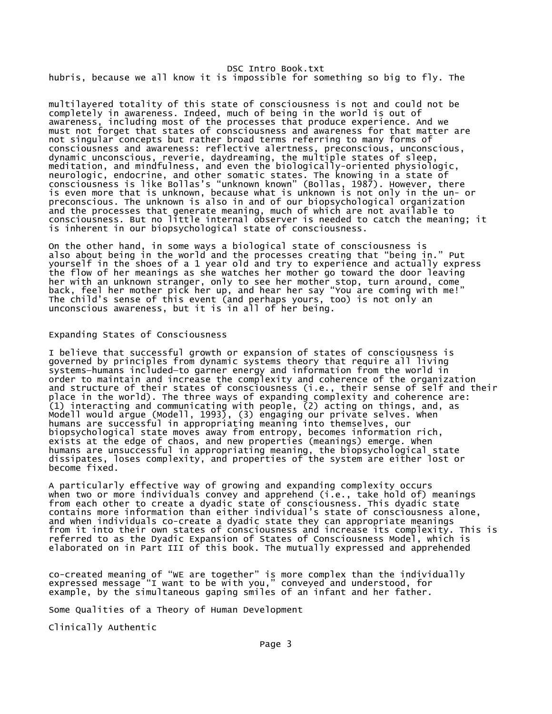DSC Intro Book.txt hubris, because we all know it is impossible for something so big to fly. The

multilayered totality of this state of consciousness is not and could not be completely in awareness. Indeed, much of being in the world is out of awareness, including most of the processes that produce experience. And we must not forget that states of consciousness and awareness for that matter are not singular concepts but rather broad terms referring to many forms of consciousness and awareness: reflective alertness, preconscious, unconscious, dynamic unconscious, reverie, daydreaming, the multiple states of sleep, meditation, and mindfulness, and even the biologically-oriented physiologic, neurologic, endocrine, and other somatic states. The knowing in a state of consciousness is like Bollas's "unknown known" (Bollas, 1987). However, there is even more that is unknown, because what is unknown is not only in the un- or preconscious. The unknown is also in and of our biopsychological organization and the processes that generate meaning, much of which are not available to consciousness. But no little internal observer is needed to catch the meaning; it is inherent in our biopsychological state of consciousness.

On the other hand, in some ways a biological state of consciousness is also about being in the world and the processes creating that "being in." Put yourself in the shoes of a 1 year old and try to experience and actually express the flow of her meanings as she watches her mother go toward the door leaving her with an unknown stranger, only to see her mother stop, turn around, come back, feel her mother pick her up, and hear her say "You are coming with me!" The child's sense of this event (and perhaps yours, too) is not only an unconscious awareness, but it is in all of her being.

# Expanding States of Consciousness

I believe that successful growth or expansion of states of consciousness is governed by principles from dynamic systems theory that require all living systems—humans included—to garner energy and information from the world in order to maintain and increase the complexity and coherence of the organization and structure of their states of consciousness (i.e., their sense of self and their place in the world). The three ways of expanding complexity and coherence are: (1) interacting and communicating with people, (2) acting on things, and, as Modell would argue (Modell, 1993), (3) engaging our private selves. When humans are successful in appropriating meaning into themselves, our biopsychological state moves away from entropy, becomes information rich, exists at the edge of chaos, and new properties (meanings) emerge. When humans are unsuccessful in appropriating meaning, the biopsychological state dissipates, loses complexity, and properties of the system are either lost or become fixed.

A particularly effective way of growing and expanding complexity occurs when two or more individuals convey and apprehend (i.e., take hold of) meanings from each other to create a dyadic state of consciousness. This dyadic state contains more information than either individual's state of consciousness alone, and when individuals co-create a dyadic state they can appropriate meanings from it into their own states of consciousness and increase its complexity. This is referred to as the Dyadic Expansion of States of Consciousness Model, which is elaborated on in Part III of this book. The mutually expressed and apprehended

co-created meaning of "WE are together" is more complex than the individually expressed message "I want to be with you," conveyed and understood, for example, by the simultaneous gaping smiles of an infant and her father.

Some Qualities of a Theory of Human Development

Clinically Authentic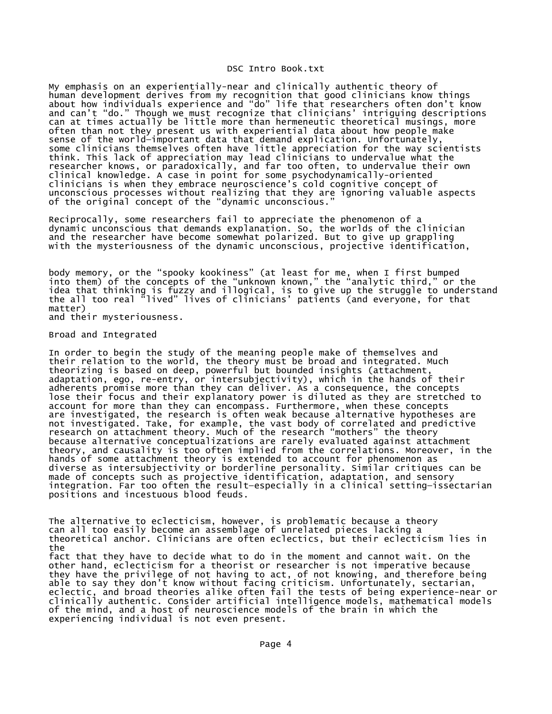My emphasis on an experientially-near and clinically authentic theory of human development derives from my recognition that good clinicians know things about how individuals experience and "do" life that researchers often don't know and can't "do." Though we must recognize that clinicians' intriguing descriptions can at times actually be little more than hermeneutic theoretical musings, more often than not they present us with experiential data about how people make sense of the world—important data that demand explication. Unfortunately, some clinicians themselves often have little appreciation for the way scientists think. This lack of appreciation may lead clinicians to undervalue what the researcher knows, or paradoxically, and far too often, to undervalue their own clinical knowledge. A case in point for some psychodynamically-oriented clinicians is when they embrace neuroscience's cold cognitive concept of unconscious processes without realizing that they are ignoring valuable aspects of the original concept of the "dynamic unconscious."

Reciprocally, some researchers fail to appreciate the phenomenon of a dynamic unconscious that demands explanation. So, the worlds of the clinician and the researcher have become somewhat polarized. But to give up grappling with the mysteriousness of the dynamic unconscious, projective identification,

body memory, or the "spooky kookiness" (at least for me, when I first bumped into them) of the concepts of the "unknown known," the "analytic third," or the idea that thinking is fuzzy and illogical, is to give up the struggle to understand the all too real "lived" lives of clinicians' patients (and everyone, for that matter)

and their mysteriousness.

#### Broad and Integrated

In order to begin the study of the meaning people make of themselves and their relation to the world, the theory must be broad and integrated. Much theorizing is based on deep, powerful but bounded insights (attachment, adaptation, ego, re-entry, or intersubjectivity), which in the hands of their adherents promise more than they can deliver. As a consequence, the concepts lose their focus and their explanatory power is diluted as they are stretched to account for more than they can encompass. Furthermore, when these concepts are investigated, the research is often weak because alternative hypotheses are not investigated. Take, for example, the vast body of correlated and predictive research on attachment theory. Much of the research "mothers" the theory because alternative conceptualizations are rarely evaluated against attachment theory, and causality is too often implied from the correlations. Moreover, in the hands of some attachment theory is extended to account for phenomenon as diverse as intersubjectivity or borderline personality. Similar critiques can be made of concepts such as projective identification, adaptation, and sensory integration. Far too often the result—especially in a clinical setting—issectarian positions and incestuous blood feuds.

The alternative to eclecticism, however, is problematic because a theory can all too easily become an assemblage of unrelated pieces lacking a theoretical anchor. Clinicians are often eclectics, but their eclecticism lies in the fact that they have to decide what to do in the moment and cannot wait. On the other hand, eclecticism for a theorist or researcher is not imperative because they have the privilege of not having to act, of not knowing, and therefore being able to say they don't know without facing criticism. Unfortunately, sectarian, eclectic, and broad theories alike often fail the tests of being experience-near or clinically authentic. Consider artificial intelligence models, mathematical models of the mind, and a host of neuroscience models of the brain in which the experiencing individual is not even present.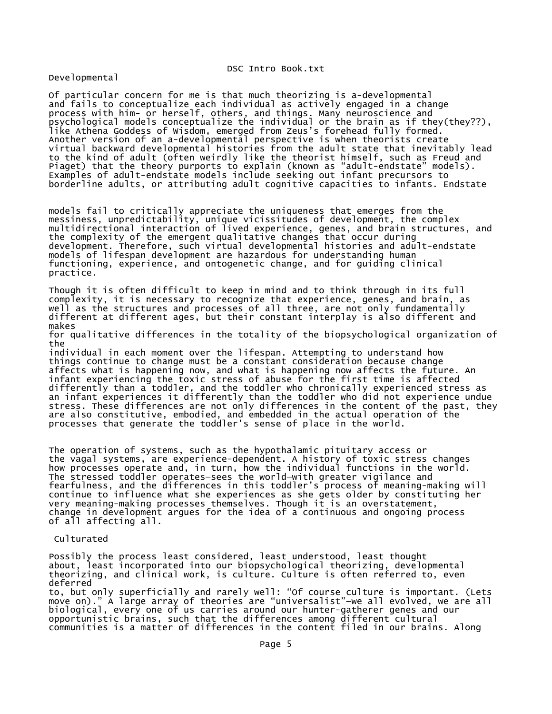Developmental

Of particular concern for me is that much theorizing is a-developmental and fails to conceptualize each individual as actively engaged in a change process with him- or herself, others, and things. Many neuroscience and psychological models conceptualize the individual or the brain as if they(they??), like Athena Goddess of Wisdom, emerged from Zeus's forehead fully formed. Another version of an a-developmental perspective is when theorists create virtual backward developmental histories from the adult state that inevitably lead to the kind of adult (often weirdly like the theorist himself, such as Freud and Piaget) that the theory purports to explain (known as "adult-endstate" models). Examples of adult-endstate models include seeking out infant precursors to borderline adults, or attributing adult cognitive capacities to infants. Endstate

models fail to critically appreciate the uniqueness that emerges from the messiness, unpredictability, unique vicissitudes of development, the complex multidirectional interaction of lived experience, genes, and brain structures, and the complexity of the emergent qualitative changes that occur during development. Therefore, such virtual developmental histories and adult-endstate models of lifespan development are hazardous for understanding human functioning, experience, and ontogenetic change, and for guiding clinical practice.

Though it is often difficult to keep in mind and to think through in its full complexity, it is necessary to recognize that experience, genes, and brain, as well as the structures and processes of all three, are not only fundamentally different at different ages, but their constant interplay is also different and makes

for qualitative differences in the totality of the biopsychological organization of the

individual in each moment over the lifespan. Attempting to understand how things continue to change must be a constant consideration because change affects what is happening now, and what is happening now affects the future. An infant experiencing the toxic stress of abuse for the first time is affected differently than a toddler, and the toddler who chronically experienced stress as an infant experiences it differently than the toddler who did not experience undue stress. These differences are not only differences in the content of the past, they are also constitutive, embodied, and embedded in the actual operation of the processes that generate the toddler's sense of place in the world.

The operation of systems, such as the hypothalamic pituitary access or the vagal systems, are experience-dependent. A history of toxic stress changes how processes operate and, in turn, how the individual functions in the world. The stressed toddler operates—sees the world—with greater vigilance and fearfulness, and the differences in this toddler's process of meaning-making will continue to influence what she experiences as she gets older by constituting her very meaning-making processes themselves. Though it is an overstatement, change in development argues for the idea of a continuous and ongoing process of all affecting all.

# Culturated

Possibly the process least considered, least understood, least thought about, least incorporated into our biopsychological theorizing, developmental theorizing, and clinical work, is culture. Culture is often referred to, even deferred

to, but only superficially and rarely well: "Of course culture is important. (Lets move on)." A large array of theories are "universalist"—we all evolved, we are all biological, every one of us carries around our hunter-gatherer genes and our opportunistic brains, such that the differences among different cultural communities is a matter of differences in the content filed in our brains. Along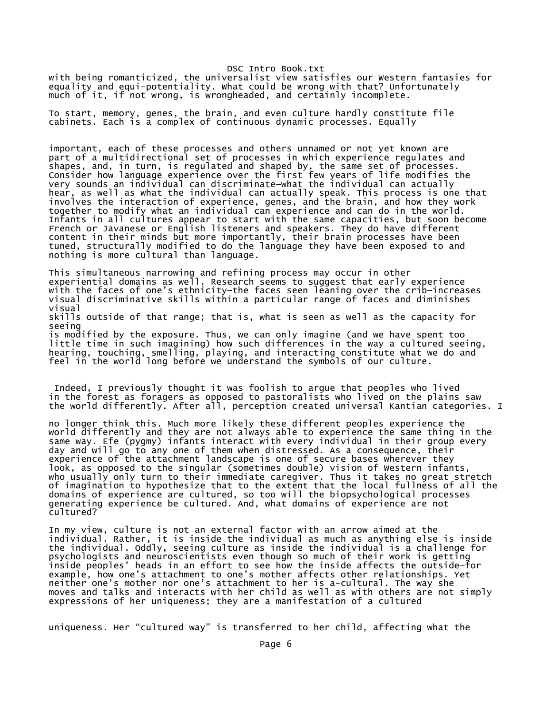with being romanticized, the universalist view satisfies our Western fantasies for equality and equi-potentiality. What could be wrong with that? Unfortunately much of it, if not wrong, is wrongheaded, and certainly incomplete.

To start, memory, genes, the brain, and even culture hardly constitute file cabinets. Each is a complex of continuous dynamic processes. Equally

important, each of these processes and others unnamed or not yet known are part of a multidirectional set of processes in which experience regulates and shapes, and, in turn, is regulated and shaped by, the same set of processes. Consider how language experience over the first few years of life modifies the very sounds an individual can discriminate—what the individual can actually hear, as well as what the individual can actually speak. This process is one that involves the interaction of experience, genes, and the brain, and how they work together to modify what an individual can experience and can do in the world. Infants in all cultures appear to start with the same capacities, but soon become French or Javanese or English listeners and speakers. They do have different content in their minds but more importantly, their brain processes have been tuned, structurally modified to do the language they have been exposed to and nothing is more cultural than language.

This simultaneous narrowing and refining process may occur in other experiential domains as well. Research seems to suggest that early experience with the faces of one's ethnicity—the faces seen leaning over the crib—increases visual discriminative skills within a particular range of faces and diminishes visual

skills outside of that range; that is, what is seen as well as the capacity for seeing

is modified by the exposure. Thus, we can only imagine (and we have spent too little time in such imagining) how such differences in the way a cultured seeing, hearing, touching, smelling, playing, and interacting constitute what we do and feel in the world long before we understand the symbols of our culture.

Indeed, I previously thought it was foolish to argue that peoples who lived in the forest as foragers as opposed to pastoralists who lived on the plains saw the world differently. After all, perception created universal Kantian categories. I

no longer think this. Much more likely these different peoples experience the world differently and they are not always able to experience the same thing in the same way. Efe (pygmy) infants interact with every individual in their group every day and will go to any one of them when distressed. As a consequence, their experience of the attachment landscape is one of secure bases wherever they look, as opposed to the singular (sometimes double) vision of Western infants, who usually only turn to their immediate caregiver. Thus it takes no great stretch of imagination to hypothesize that to the extent that the local fullness of all the domains of experience are cultured, so too will the biopsychological processes generating experience be cultured. And, what domains of experience are not cultured?

In my view, culture is not an external factor with an arrow aimed at the individual. Rather, it is inside the individual as much as anything else is inside the individual. Oddly, seeing culture as inside the individual is a challenge for psychologists and neuroscientists even though so much of their work is getting inside peoples' heads in an effort to see how the inside affects the outside—for example, how one's attachment to one's mother affects other relationships. Yet neither one's mother nor one's attachment to her is a-cultural. The way she moves and talks and interacts with her child as well as with others are not simply expressions of her uniqueness; they are a manifestation of a cultured

uniqueness. Her "cultured way" is transferred to her child, affecting what the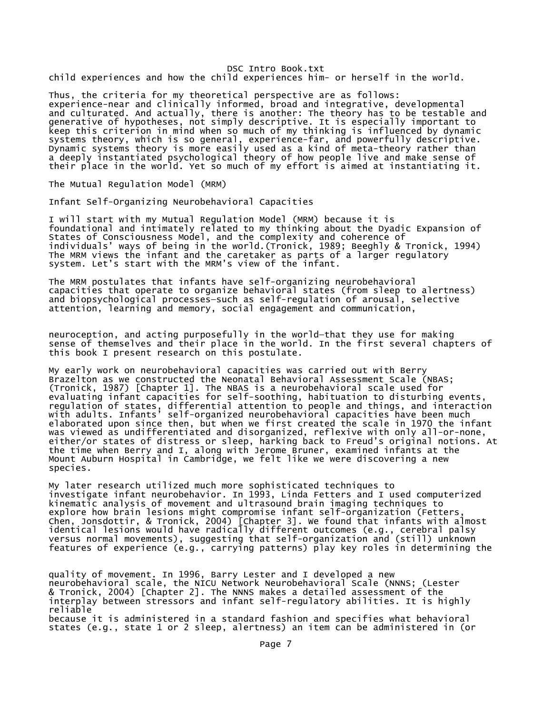DSC Intro Book.txt child experiences and how the child experiences him- or herself in the world.

Thus, the criteria for my theoretical perspective are as follows: experience-near and clinically informed, broad and integrative, developmental and culturated. And actually, there is another: The theory has to be testable and generative of hypotheses, not simply descriptive. It is especially important to keep this criterion in mind when so much of my thinking is influenced by dynamic systems theory, which is so general, experience-far, and powerfully descriptive. Dynamic systems theory is more easily used as a kind of meta-theory rather than a deeply instantiated psychological theory of how people live and make sense of their place in the world. Yet so much of my effort is aimed at instantiating it.

The Mutual Regulation Model (MRM)

Infant Self-Organizing Neurobehavioral Capacities

I will start with my Mutual Regulation Model (MRM) because it is foundational and intimately related to my thinking about the Dyadic Expansion of States of Consciousness Model, and the complexity and coherence of individuals' ways of being in the world.(Tronick, 1989; Beeghly & Tronick, 1994) The MRM views the infant and the caretaker as parts of a larger regulatory system. Let's start with the MRM's view of the infant.

The MRM postulates that infants have self-organizing neurobehavioral capacities that operate to organize behavioral states (from sleep to alertness) and biopsychological processes—such as self-regulation of arousal, selective attention, learning and memory, social engagement and communication,

neuroception, and acting purposefully in the world—that they use for making sense of themselves and their place in the world. In the first several chapters of this book I present research on this postulate.

My early work on neurobehavioral capacities was carried out with Berry Brazelton as we constructed the Neonatal Behavioral Assessment Scale (NBAS; (Tronick, 1987) [Chapter 1]. The NBAS is a neurobehavioral scale used for evaluating infant capacities for self-soothing, habituation to disturbing events, regulation of states, differential attention to people and things, and interaction with adults. Infants' self-organized neurobehavioral capacities have been much elaborated upon since then, but when we first created the scale in 1970 the infant was viewed as undifferentiated and disorganized, reflexive with only all-or-none, either/or states of distress or sleep, harking back to Freud's original notions. At the time when Berry and I, along with Jerome Bruner, examined infants at the Mount Auburn Hospital in Cambridge, we felt like we were discovering a new species.

My later research utilized much more sophisticated techniques to investigate infant neurobehavior. In 1993, Linda Fetters and I used computerized kinematic analysis of movement and ultrasound brain imaging techniques to explore how brain lesions might compromise infant self-organization (Fetters, Chen, Jonsdottir, & Tronick, 2004) [Chapter 3]. We found that infants with almost identical lesions would have radically different outcomes (e.g., cerebral palsy versus normal movements), suggesting that self-organization and (still) unknown features of experience (e.g., carrying patterns) play key roles in determining the

quality of movement. In 1996, Barry Lester and I developed a new neurobehavioral scale, the NICU Network Neurobehavioral Scale (NNNS; (Lester & Tronick, 2004) [Chapter 2]. The NNNS makes a detailed assessment of the interplay between stressors and infant self-regulatory abilities. It is highly reliable

because it is administered in a standard fashion and specifies what behavioral states (e.g., state 1 or 2 sleep, alertness) an item can be administered in (or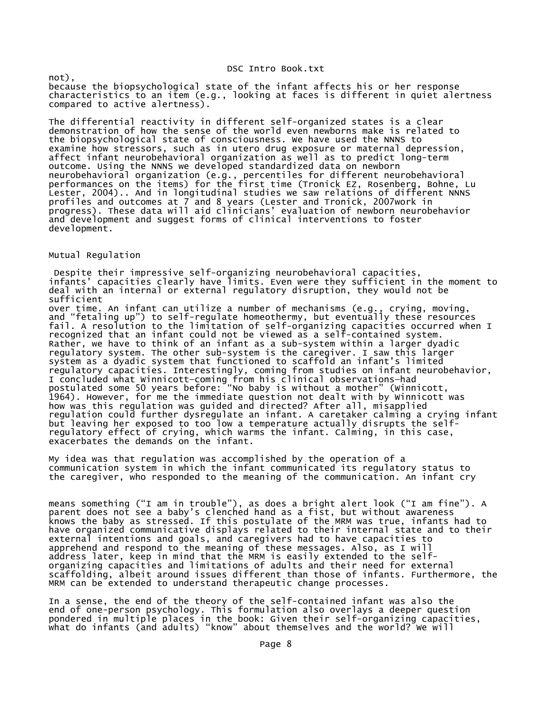not), because the biopsychological state of the infant affects his or her response characteristics to an item (e.g., looking at faces is different in quiet alertness compared to active alertness).

The differential reactivity in different self-organized states is a clear demonstration of how the sense of the world even newborns make is related to the biopsychological state of consciousness. We have used the NNNS to examine how stressors, such as in utero drug exposure or maternal depression, affect infant neurobehavioral organization as well as to predict long-term outcome. Using the NNNS we developed standardized data on newborn neurobehavioral organization (e.g., percentiles for different neurobehavioral performances on the items) for the first time (Tronick EZ, Rosenberg, Bohne, Lu Lester, 2004).. And in longitudinal studies we saw relations of different NNNS profiles and outcomes at 7 and 8 years (Lester and Tronick, 2007work in progress). These data will aid clinicians' evaluation of newborn neurobehavior and development and suggest forms of clinical interventions to foster development.

Mutual Regulation

Despite their impressive self-organizing neurobehavioral capacities, infants' capacities clearly have limits. Even were they sufficient in the moment to deal with an internal or external regulatory disruption, they would not be sufficient

over time. An infant can utilize a number of mechanisms (e.g., crying, moving, and "fetaling up") to self-regulate homeothermy, but eventually these resources fail. A resolution to the limitation of self-organizing capacities occurred when I recognized that an infant could not be viewed as a self-contained system. Rather, we have to think of an infant as a sub-system within a larger dyadic regulatory system. The other sub-system is the caregiver. I saw this larger system as a dyadic system that functioned to scaffold an infant's limited regulatory capacities. Interestingly, coming from studies on infant neurobehavior, I concluded what Winnicott—coming from his clinical observations—had postulated some 50 years before: "No baby is without a mother" (Winnicott, 1964). However, for me the immediate question not dealt with by Winnicott was how was this regulation was guided and directed? After all, misapplied regulation could further dysregulate an infant. A caretaker calming a crying infant but leaving her exposed to too low a temperature actually disrupts the selfregulatory effect of crying, which warms the infant. Calming, in this case, exacerbates the demands on the infant.

My idea was that regulation was accomplished by the operation of a communication system in which the infant communicated its regulatory status to the caregiver, who responded to the meaning of the communication. An infant cry

means something ("I am in trouble"), as does a bright alert look ("I am fine"). A parent does not see a baby's clenched hand as a fist, but without awareness knows the baby as stressed. If this postulate of the MRM was true, infants had to have organized communicative displays related to their internal state and to their external intentions and goals, and caregivers had to have capacities to apprehend and respond to the meaning of these messages. Also, as I will address later, keep in mind that the MRM is easily extended to the selforganizing capacities and limitations of adults and their need for external scaffolding, albeit around issues different than those of infants. Furthermore, the MRM can be extended to understand therapeutic change processes.

In a sense, the end of the theory of the self-contained infant was also the end of one-person psychology. This formulation also overlays a deeper question pondered in multiple places in the book: Given their self-organizing capacities, what do infants (and adults) "know" about themselves and the world? We will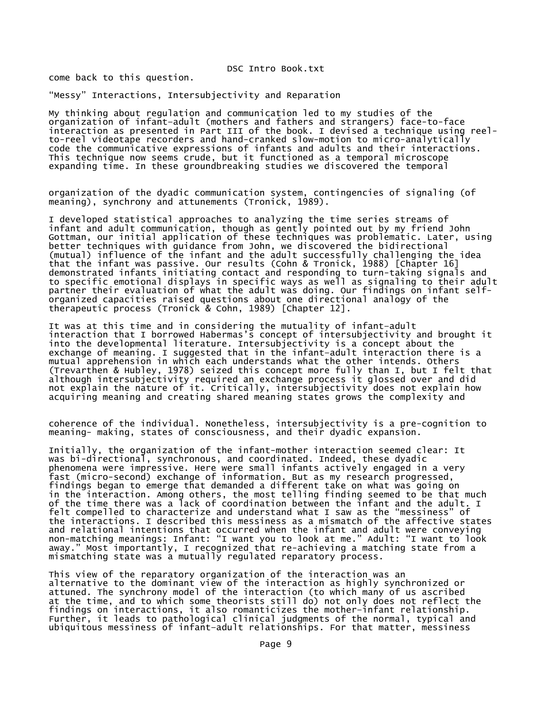come back to this question.

"Messy" Interactions, Intersubjectivity and Reparation

My thinking about regulation and communication led to my studies of the organization of infant–adult (mothers and fathers and strangers) face-to-face interaction as presented in Part III of the book. I devised a technique using reelto-reel videotape recorders and hand-cranked slow-motion to micro-analytically code the communicative expressions of infants and adults and their interactions. This technique now seems crude, but it functioned as a temporal microscope expanding time. In these groundbreaking studies we discovered the temporal

organization of the dyadic communication system, contingencies of signaling (of meaning), synchrony and attunements (Tronick, 1989).

I developed statistical approaches to analyzing the time series streams of infant and adult communication, though as gently pointed out by my friend John Gottman, our initial application of these techniques was problematic. Later, using better techniques with guidance from John, we discovered the bidirectional (mutual) influence of the infant and the adult successfully challenging the idea that the infant was passive. Our results (Cohn & Tronick, 1988) [Chapter 16] demonstrated infants initiating contact and responding to turn-taking signals and to specific emotional displays in specific ways as well as signaling to their adult partner their evaluation of what the adult was doing. Our findings on infant selforganized capacities raised questions about one directional analogy of the therapeutic process (Tronick & Cohn, 1989) [Chapter 12].

It was at this time and in considering the mutuality of infant–adult interaction that I borrowed Habermas's concept of intersubjectivity and brought it into the developmental literature. Intersubjectivity is a concept about the exchange of meaning. I suggested that in the infant–adult interaction there is a mutual apprehension in which each understands what the other intends. Others (Trevarthen & Hubley, 1978) seized this concept more fully than I, but I felt that although intersubjectivity required an exchange process it glossed over and did not explain the nature of it. Critically, intersubjectivity does not explain how acquiring meaning and creating shared meaning states grows the complexity and

coherence of the individual. Nonetheless, intersubjectivity is a pre-cognition to meaning- making, states of consciousness, and their dyadic expansion.

Initially, the organization of the infant-mother interaction seemed clear: It was bi-directional, synchronous, and coordinated. Indeed, these dyadic phenomena were impressive. Here were small infants actively engaged in a very fast (micro-second) exchange of information. But as my research progressed, findings began to emerge that demanded a different take on what was going on in the interaction. Among others, the most telling finding seemed to be that much of the time there was a lack of coordination between the infant and the adult. I felt compelled to characterize and understand what I saw as the "messiness" of the interactions. I described this messiness as a mismatch of the affective states and relational intentions that occurred when the infant and adult were conveying non-matching meanings: Infant: "I want you to look at me." Adult: "I want to look away." Most importantly, I recognized that re-achieving a matching state from a mismatching state was a mutually regulated reparatory process.

This view of the reparatory organization of the interaction was an alternative to the dominant view of the interaction as highly synchronized or attuned. The synchrony model of the interaction (to which many of us ascribed at the time, and to which some theorists still do) not only does not reflect the findings on interactions, it also romanticizes the mother–infant relationship. Further, it leads to pathological clinical judgments of the normal, typical and ubiquitous messiness of infant–adult relationships. For that matter, messiness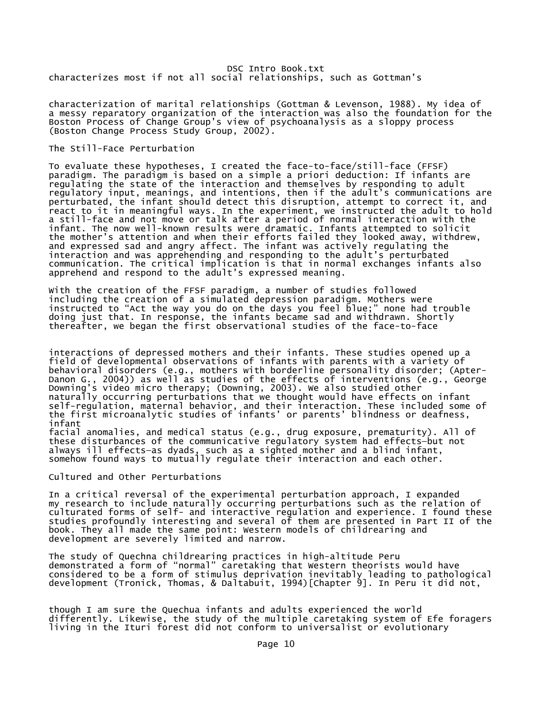DSC Intro Book.txt characterizes most if not all social relationships, such as Gottman's

characterization of marital relationships (Gottman & Levenson, 1988). My idea of a messy reparatory organization of the interaction was also the foundation for the Boston Process of Change Group's view of psychoanalysis as a sloppy process (Boston Change Process Study Group, 2002).

# The Still-Face Perturbation

To evaluate these hypotheses, I created the face-to-face/still-face (FFSF) paradigm. The paradigm is based on a simple a priori deduction: If infants are regulating the state of the interaction and themselves by responding to adult regulatory input, meanings, and intentions, then if the adult's communications are perturbated, the infant should detect this disruption, attempt to correct it, and react to it in meaningful ways. In the experiment, we instructed the adult to hold a still-face and not move or talk after a period of normal interaction with the infant. The now well-known results were dramatic. Infants attempted to solicit the mother's attention and when their efforts failed they looked away, withdrew, and expressed sad and angry affect. The infant was actively regulating the interaction and was apprehending and responding to the adult's perturbated communication. The critical implication is that in normal exchanges infants also apprehend and respond to the adult's expressed meaning.

With the creation of the FFSF paradigm, a number of studies followed including the creation of a simulated depression paradigm. Mothers were instructed to "Act the way you do on the days you feel blue;" none had trouble doing just that. In response, the infants became sad and withdrawn. Shortly thereafter, we began the first observational studies of the face-to-face

interactions of depressed mothers and their infants. These studies opened up a field of developmental observations of infants with parents with a variety of behavioral disorders (e.g., mothers with borderline personality disorder; (Apter-Danon G., 2004)) as well as studies of the effects of interventions (e.g., George Downing's video micro therapy; (Downing, 2003). We also studied other naturally occurring perturbations that we thought would have effects on infant self-regulation, maternal behavior, and their interaction. These included some of the first microanalytic studies of infants' or parents' blindness or deafness, infant facial anomalies, and medical status (e.g., drug exposure, prematurity). All of

these disturbances of the communicative regulatory system had effects—but not always ill effects—as dyads, such as a sighted mother and a blind infant, somehow found ways to mutually regulate their interaction and each other.

# Cultured and Other Perturbations

In a critical reversal of the experimental perturbation approach, I expanded my research to include naturally occurring perturbations such as the relation of culturated forms of self- and interactive regulation and experience. I found these studies profoundly interesting and several of them are presented in Part II of the book. They all made the same point: Western models of childrearing and development are severely limited and narrow.

The study of Quechna childrearing practices in high-altitude Peru demonstrated a form of "normal" caretaking that Western theorists would have considered to be a form of stimulus deprivation inevitably leading to pathological development (Tronick, Thomas, & Daltabuit, 1994)[Chapter 9]. In Peru it did not,

though I am sure the Quechua infants and adults experienced the world differently. Likewise, the study of the multiple caretaking system of Efe foragers living in the Ituri forest did not conform to universalist or evolutionary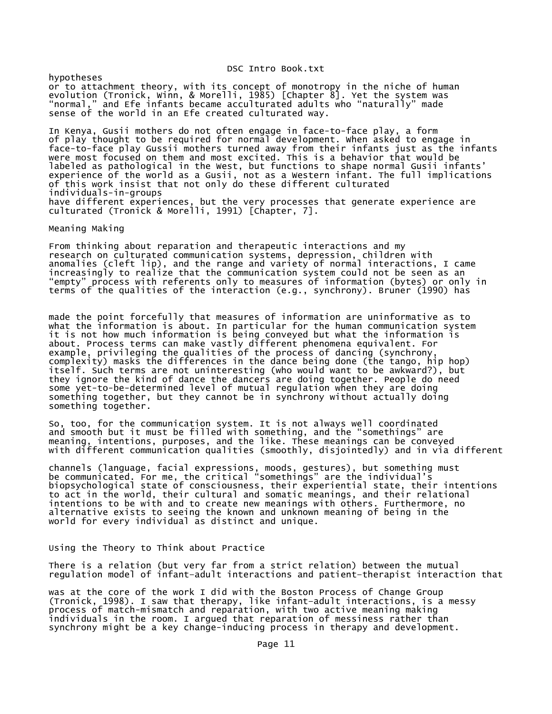hypotheses or to attachment theory, with its concept of monotropy in the niche of human evolution (Tronick, Winn, & Morelli, 1985) [Chapter 8]. Yet the system was "normal," and Efe infants became acculturated adults who "naturally" made sense of the world in an Efe created culturated way.

In Kenya, Gusii mothers do not often engage in face-to-face play, a form of play thought to be required for normal development. When asked to engage in face-to-face play Gussii mothers turned away from their infants just as the infants were most focused on them and most excited. This is a behavior that would be labeled as pathological in the West, but functions to shape normal Gusii infants' experience of the world as a Gusii, not as a Western infant. The full implications of this work insist that not only do these different culturated individuals-in-groups have different experiences, but the very processes that generate experience are culturated (Tronick & Morelli, 1991) [Chapter, 7].

Meaning Making

From thinking about reparation and therapeutic interactions and my research on culturated communication systems, depression, children with anomalies (cleft lip), and the range and variety of normal interactions, I came increasingly to realize that the communication system could not be seen as an "empty" process with referents only to measures of information (bytes) or only in terms of the qualities of the interaction (e.g., synchrony). Bruner (1990) has

made the point forcefully that measures of information are uninformative as to what the information is about. In particular for the human communication system it is not how much information is being conveyed but what the information is about. Process terms can make vastly different phenomena equivalent. For example, privileging the qualities of the process of dancing (synchrony, complexity) masks the differences in the dance being done (the tango, hip hop) itself. Such terms are not uninteresting (who would want to be awkward?), but they ignore the kind of dance the dancers are doing together. People do need some yet-to-be-determined level of mutual regulation when they are doing something together, but they cannot be in synchrony without actually doing something together.

So, too, for the communication system. It is not always well coordinated and smooth but it must be filled with something, and the "somethings" are meaning, intentions, purposes, and the like. These meanings can be conveyed with different communication qualities (smoothly, disjointedly) and in via different

channels (language, facial expressions, moods, gestures), but something must be communicated. For me, the critical "somethings" are the individual's biopsychological state of consciousness, their experiential state, their intentions to act in the world, their cultural and somatic meanings, and their relational intentions to be with and to create new meanings with others. Furthermore, no alternative exists to seeing the known and unknown meaning of being in the world for every individual as distinct and unique.

Using the Theory to Think about Practice

There is a relation (but very far from a strict relation) between the mutual regulation model of infant–adult interactions and patient–therapist interaction that

was at the core of the work I did with the Boston Process of Change Group (Tronick, 1998). I saw that therapy, like infant–adult interactions, is a messy process of match-mismatch and reparation, with two active meaning making individuals in the room. I argued that reparation of messiness rather than synchrony might be a key change-inducing process in therapy and development.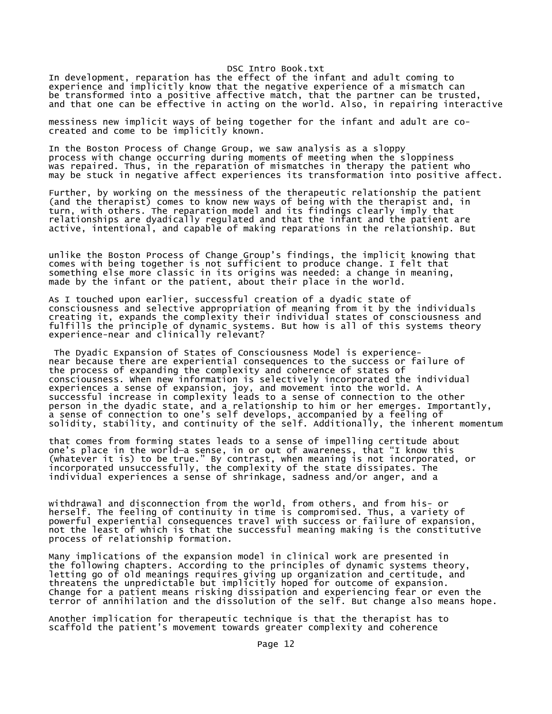In development, reparation has the effect of the infant and adult coming to experience and implicitly know that the negative experience of a mismatch can be transformed into a positive affective match, that the partner can be trusted, and that one can be effective in acting on the world. Also, in repairing interactive

messiness new implicit ways of being together for the infant and adult are cocreated and come to be implicitly known.

In the Boston Process of Change Group, we saw analysis as a sloppy process with change occurring during moments of meeting when the sloppiness was repaired. Thus, in the reparation of mismatches in therapy the patient who may be stuck in negative affect experiences its transformation into positive affect.

Further, by working on the messiness of the therapeutic relationship the patient (and the therapist) comes to know new ways of being with the therapist and, in turn, with others. The reparation model and its findings clearly imply that relationships are dyadically regulated and that the infant and the patient are active, intentional, and capable of making reparations in the relationship. But

unlike the Boston Process of Change Group's findings, the implicit knowing that comes with being together is not sufficient to produce change. I felt that something else more classic in its origins was needed: a change in meaning, made by the infant or the patient, about their place in the world.

As I touched upon earlier, successful creation of a dyadic state of consciousness and selective appropriation of meaning from it by the individuals creating it, expands the complexity their individual states of consciousness and fulfills the principle of dynamic systems. But how is all of this systems theory experience-near and clinically relevant?

The Dyadic Expansion of States of Consciousness Model is experiencenear because there are experiential consequences to the success or failure of the process of expanding the complexity and coherence of states of consciousness. When new information is selectively incorporated the individual experiences a sense of expansion, joy, and movement into the world. A successful increase in complexity leads to a sense of connection to the other person in the dyadic state, and a relationship to him or her emerges. Importantly, a sense of connection to one's self develops, accompanied by a feeling of solidity, stability, and continuity of the self. Additionally, the inherent momentum

that comes from forming states leads to a sense of impelling certitude about one's place in the world-a sense, in or out of awareness, that "I know this (whatever it is) to be true." By contrast, when meaning is not incorporated, or incorporated unsuccessfully, the complexity of the state dissipates. The individual experiences a sense of shrinkage, sadness and/or anger, and a

withdrawal and disconnection from the world, from others, and from his- or herself. The feeling of continuity in time is compromised. Thus, a variety of powerful experiential consequences travel with success or failure of expansion, not the least of which is that the successful meaning making is the constitutive process of relationship formation.

Many implications of the expansion model in clinical work are presented in the following chapters. According to the principles of dynamic systems theory, letting go of old meanings requires giving up organization and certitude, and threatens the unpredictable but implicitly hoped for outcome of expansion. Change for a patient means risking dissipation and experiencing fear or even the terror of annihilation and the dissolution of the self. But change also means hope.

Another implication for therapeutic technique is that the therapist has to scaffold the patient's movement towards greater complexity and coherence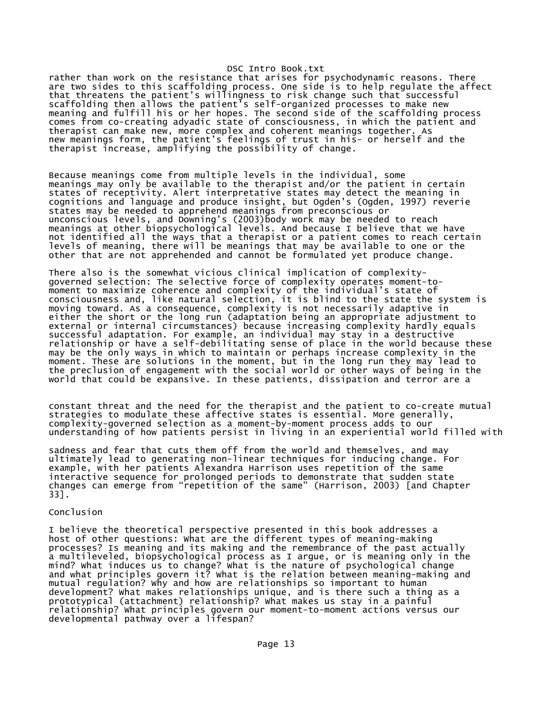rather than work on the resistance that arises for psychodynamic reasons. There are two sides to this scaffolding process. One side is to help regulate the affect that threatens the patient's willingness to risk change such that successful scaffolding then allows the patient's self-organized processes to make new meaning and fulfill his or her hopes. The second side of the scaffolding process comes from co-creating adyadic state of consciousness, in which the patient and therapist can make new, more complex and coherent meanings together. As new meanings form, the patient's feelings of trust in his- or herself and the therapist increase, amplifying the possibility of change.

Because meanings come from multiple levels in the individual, some meanings may only be available to the therapist and/or the patient in certain states of receptivity. Alert interpretative states may detect the meaning in cognitions and language and produce insight, but Ogden's (Ogden, 1997) reverie states may be needed to apprehend meanings from preconscious or unconscious levels, and Downing's (2003)body work may be needed to reach meanings at other biopsychological levels. And because I believe that we have not identified all the ways that a therapist or a patient comes to reach certain levels of meaning, there will be meanings that may be available to one or the other that are not apprehended and cannot be formulated yet produce change.

There also is the somewhat vicious clinical implication of complexitygoverned selection: The selective force of complexity operates moment-tomoment to maximize coherence and complexity of the individual's state of consciousness and, like natural selection, it is blind to the state the system is moving toward. As a consequence, complexity is not necessarily adaptive in either the short or the long run (adaptation being an appropriate adjustment to external or internal circumstances) because increasing complexity hardly equals successful adaptation. For example, an individual may stay in a destructive relationship or have a self-debilitating sense of place in the world because these may be the only ways in which to maintain or perhaps increase complexity in the moment. These are solutions in the moment, but in the long run they may lead to the preclusion of engagement with the social world or other ways of being in the world that could be expansive. In these patients, dissipation and terror are a

constant threat and the need for the therapist and the patient to co-create mutual strategies to modulate these affective states is essential. More generally, complexity-governed selection as a moment-by-moment process adds to our understanding of how patients persist in living in an experiential world filled with

sadness and fear that cuts them off from the world and themselves, and may ultimately lead to generating non-linear techniques for inducing change. For example, with her patients Alexandra Harrison uses repetition of the same interactive sequence for prolonged periods to demonstrate that sudden state changes can emerge from "repetition of the same" (Harrison, 2003) [and Chapter 33].

## Conclusion

I believe the theoretical perspective presented in this book addresses a host of other questions: What are the different types of meaning-making processes? Is meaning and its making and the remembrance of the past actually a multileveled, biopsychological process as I argue, or is meaning only in the mind? What induces us to change? What is the nature of psychological change and what principles govern it? What is the relation between meaning-making and mutual regulation? Why and how are relationships so important to human development? What makes relationships unique, and is there such a thing as a prototypical (attachment) relationship? What makes us stay in a painful relationship? What principles govern our moment-to-moment actions versus our developmental pathway over a lifespan?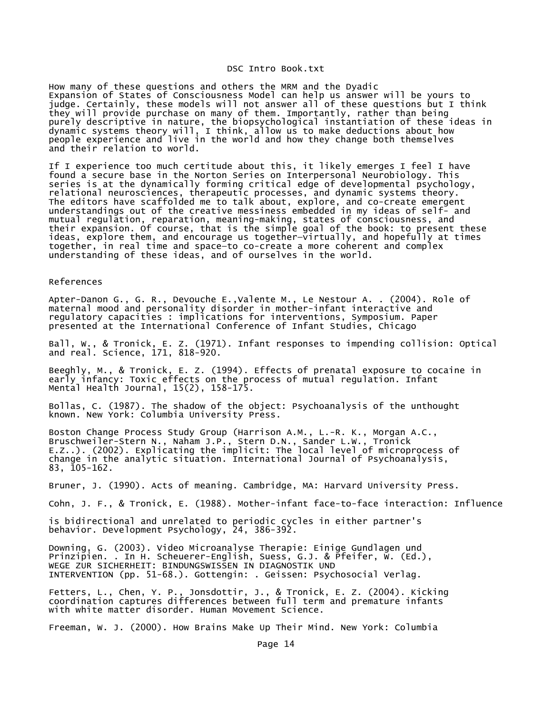How many of these questions and others the MRM and the Dyadic Expansion of States of Consciousness Model can help us answer will be yours to judge. Certainly, these models will not answer all of these questions but I think they will provide purchase on many of them. Importantly, rather than being purely descriptive in nature, the biopsychological instantiation of these ideas in dynamic systems theory will, I think, allow us to make deductions about how people experience and live in the world and how they change both themselves and their relation to world.

If I experience too much certitude about this, it likely emerges I feel I have found a secure base in the Norton Series on Interpersonal Neurobiology. This series is at the dynamically forming critical edge of developmental psychology, relational neurosciences, therapeutic processes, and dynamic systems theory. The editors have scaffolded me to talk about, explore, and co-create emergent understandings out of the creative messiness embedded in my ideas of self- and mutual regulation, reparation, meaning-making, states of consciousness, and their expansion. Of course, that is the simple goal of the book: to present these ideas, explore them, and encourage us together—virtually, and hopefully at times together, in real time and space—to co-create a more coherent and complex understanding of these ideas, and of ourselves in the world.

References

Apter-Danon G., G. R., Devouche E.,Valente M., Le Nestour A. . (2004). Role of maternal mood and personality disorder in mother-infant interactive and regulatory capacities : implications for interventions, Symposium. Paper presented at the International Conference of Infant Studies, Chicago

Ball, W., & Tronick, E. Z. (1971). Infant responses to impending collision: Optical and real. Science, 171, 818-920.

Beeghly, M., & Tronick, E. Z. (1994). Effects of prenatal exposure to cocaine in early infancy: Toxic effects on the process of mutual regulation. Infant Mental Health Journal, 15(2), 158-175.

Bollas, C. (1987). The shadow of the object: Psychoanalysis of the unthought known. New York: Columbia University Press.

Boston Change Process Study Group (Harrison A.M., L.-R. K., Morgan A.C., Bruschweiler-Stern N., Naham J.P., Stern D.N., Sander L.W., Tronick E.Z..). (2002). Explicating the implicit: The local level of microprocess of change in the analytic situation. International Journal of Psychoanalysis, 83, 105-162.

Bruner, J. (1990). Acts of meaning. Cambridge, MA: Harvard University Press.

Cohn, J. F., & Tronick, E. (1988). Mother-infant face-to-face interaction: Influence

is bidirectional and unrelated to periodic cycles in either partner's behavior. Development Psychology, 24, 386-392.

Downing, G. (2003). Video Microanalyse Therapie: Einige Gundlagen und Prinzipien. . In H. Scheuerer-English, Suess, G.J. & Pfeifer, W. (Ed.), WEGE ZUR SICHERHEIT: BINDUNGSWISSEN IN DIAGNOSTIK UND INTERVENTION (pp. 51-68.). Gottengin: . Geissen: Psychosocial Verlag.

Fetters, L., Chen, Y. P., Jonsdottir, J., & Tronick, E. Z. (2004). Kicking coordination captures differences between full term and premature infants with white matter disorder. Human Movement Science.

Freeman, W. J. (2000). How Brains Make Up Their Mind. New York: Columbia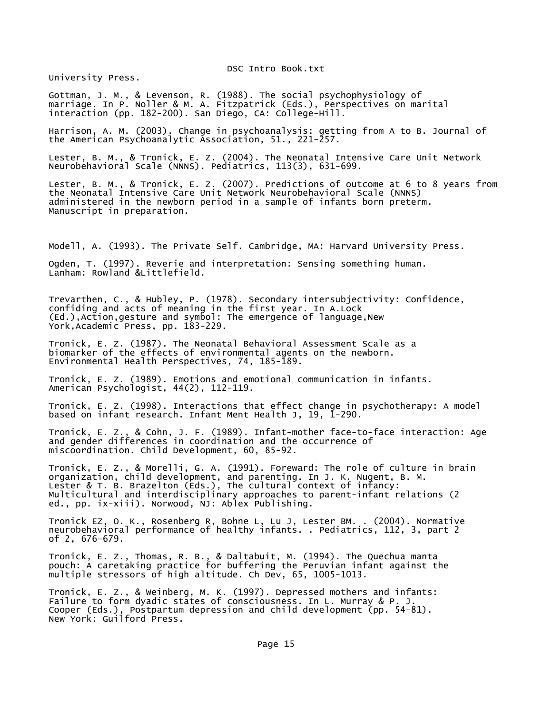University Press.

Gottman, J. M., & Levenson, R. (1988). The social psychophysiology of marriage. In P. Noller & M. A. Fitzpatrick (Eds.), Perspectives on marital interaction (pp. 182-200). San Diego, CA: College-Hill.

Harrison, A. M. (2003). Change in psychoanalysis: getting from A to B. Journal of the American Psychoanalytic Association, 51., 221-257.

Lester, B. M., & Tronick, E. Z. (2004). The Neonatal Intensive Care Unit Network Neurobehavioral Scale (NNNS). Pediatrics, 113(3), 631-699.

Lester, B. M., & Tronick, E. Z. (2007). Predictions of outcome at 6 to 8 years from the Neonatal Intensive Care Unit Network Neurobehavioral Scale (NNNS) administered in the newborn period in a sample of infants born preterm. Manuscript in preparation.

Modell, A. (1993). The Private Self. Cambridge, MA: Harvard University Press.

Ogden, T. (1997). Reverie and interpretation: Sensing something human. Lanham: Rowland &Littlefield.

Trevarthen, C., & Hubley, P. (1978). Secondary intersubjectivity: Confidence, confiding and acts of meaning in the first year. In A.Lock (Ed.),Action,gesture and symbol: The emergence of language,New York,Academic Press, pp. 183-229.

Tronick, E. Z. (1987). The Neonatal Behavioral Assessment Scale as a biomarker of the effects of environmental agents on the newborn. Environmental Health Perspectives, 74, 185-189.

Tronick, E. Z. (1989). Emotions and emotional communication in infants. American Psychologist, 44(2), 112-119.

Tronick, E. Z. (1998). Interactions that effect change in psychotherapy: A model based on infant research. Infant Ment Health J, 19, 1-290.

Tronick, E. Z., & Cohn, J. F. (1989). Infant-mother face-to-face interaction: Age and gender differences in coordination and the occurrence of miscoordination. Child Development, 60, 85-92.

Tronick, E. Z., & Morelli, G. A. (1991). Foreward: The role of culture in brain organization, child development, and parenting. In J. K. Nugent, B. M. Lester & T. B. Brazelton (Eds.), The cultural context of infancy: Multicultural and interdisciplinary approaches to parent-infant relations (2 ed., pp. ix-xiii). Norwood, NJ: Ablex Publishing.

Tronick EZ, O. K., Rosenberg R, Bohne L, Lu J, Lester BM. . (2004). Normative neurobehavioral performance of healthy infants. . Pediatrics, 112, 3, part 2 of 2, 676-679.

Tronick, E. Z., Thomas, R. B., & Daltabuit, M. (1994). The Quechua manta pouch: A caretaking practice for buffering the Peruvian infant against the multiple stressors of high altitude. Ch Dev, 65, 1005-1013.

Tronick, E. Z., & Weinberg, M. K. (1997). Depressed mothers and infants: Failure to form dyadic states of consciousness. In L. Murray & P. J. Cooper (Eds.), Postpartum depression and child development (pp. 54-81). New York: Guilford Press.